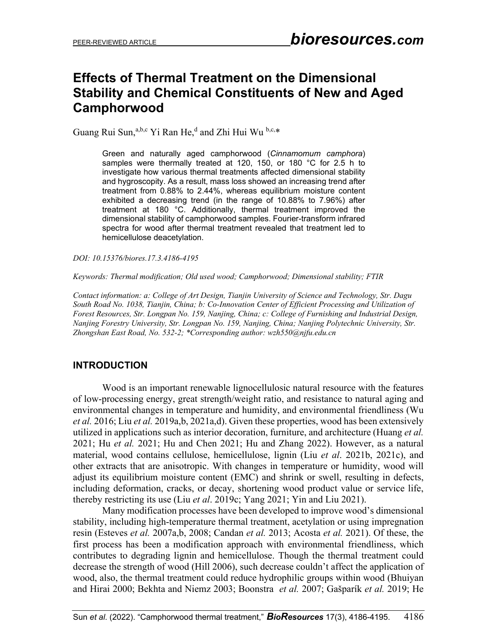## **Effects of Thermal Treatment on the Dimensional Stability and Chemical Constituents of New and Aged Camphorwood**

Guang Rui Sun, a,b,c Yi Ran He,<sup>d</sup> and Zhi Hui Wu b,c,\*

Green and naturally aged camphorwood (*Cinnamomum camphora*) samples were thermally treated at 120, 150, or 180 °C for 2.5 h to investigate how various thermal treatments affected dimensional stability and hygroscopity. As a result, mass loss showed an increasing trend after treatment from 0.88% to 2.44%, whereas equilibrium moisture content exhibited a decreasing trend (in the range of 10.88% to 7.96%) after treatment at 180 °C. Additionally, thermal treatment improved the dimensional stability of camphorwood samples. Fourier-transform infrared spectra for wood after thermal treatment revealed that treatment led to hemicellulose deacetylation.

*DOI: 10.15376/biores.17.3.4186-4195*

*Keywords: Thermal modification; Old used wood; Camphorwood; Dimensional stability; FTIR*

*Contact information: a: College of Art Design, Tianjin University of Science and Technology, Str. Dagu South Road No. 1038, Tianjin, China; b: Co-Innovation Center of Efficient Processing and Utilization of Forest Resources, Str. Longpan No. 159, Nanjing, China; c: College of Furnishing and Industrial Design, Nanjing Forestry University, Str. Longpan No. 159, Nanjing, China; Nanjing Polytechnic University, Str. Zhongshan East Road, No. 532-2; \*Corresponding author: wzh550@njfu.edu.cn*

### **INTRODUCTION**

Wood is an important renewable lignocellulosic natural resource with the features of low-processing energy, great strength/weight ratio, and resistance to natural aging and environmental changes in temperature and humidity, and environmental friendliness (Wu *et al.* 2016; Liu *et al.* 2019a,b, 2021a,d). Given these properties, wood has been extensively utilized in applications such as interior decoration, furniture, and architecture (Huang *et al.* 2021; Hu *et al.* 2021; Hu and Chen 2021; Hu and Zhang 2022). However, as a natural material, wood contains cellulose, hemicellulose, lignin (Liu *et al*. 2021b, 2021c), and other extracts that are anisotropic. With changes in temperature or humidity, wood will adjust its equilibrium moisture content (EMC) and shrink or swell, resulting in defects, including deformation, cracks, or decay, shortening wood product value or service life, thereby restricting its use (Liu *et al*. 2019c; Yang 2021; Yin and Liu 2021).

Many modification processes have been developed to improve wood's dimensional stability, including high-temperature thermal treatment, acetylation or using impregnation resin (Esteves *et al.* 2007a,b, 2008; Candan *et al.* 2013; Acosta *et al.* 2021). Of these, the first process has been a modification approach with environmental friendliness, which contributes to degrading lignin and hemicellulose. Though the thermal treatment could decrease the strength of wood (Hill 2006), such decrease couldn't affect the application of wood, also, the thermal treatment could reduce hydrophilic groups within wood (Bhuiyan and Hirai 2000; Bekhta and Niemz 2003; Boonstra *et al.* 2007; Gašparík *et al.* 2019; He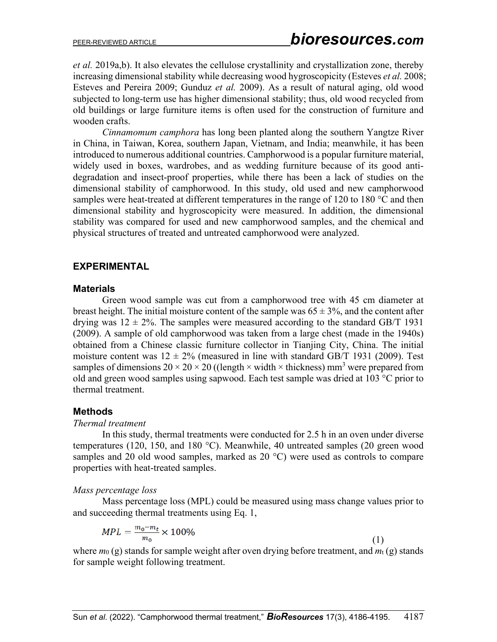*et al.* 2019a,b). It also elevates the cellulose crystallinity and crystallization zone, thereby increasing dimensional stability while decreasing wood hygroscopicity (Esteves *et al.* 2008; Esteves and Pereira 2009; Gunduz *et al.* 2009). As a result of natural aging, old wood subjected to long-term use has higher dimensional stability; thus, old wood recycled from old buildings or large furniture items is often used for the construction of furniture and wooden crafts.

*Cinnamomum camphora* has long been planted along the southern Yangtze River in China, in Taiwan, Korea, southern Japan, Vietnam, and India; meanwhile, it has been introduced to numerous additional countries. Camphorwood is a popular furniture material, widely used in boxes, wardrobes, and as wedding furniture because of its good antidegradation and insect-proof properties, while there has been a lack of studies on the dimensional stability of camphorwood. In this study, old used and new camphorwood samples were heat-treated at different temperatures in the range of 120 to 180 °C and then dimensional stability and hygroscopicity were measured. In addition, the dimensional stability was compared for used and new camphorwood samples, and the chemical and physical structures of treated and untreated camphorwood were analyzed.

### **EXPERIMENTAL**

#### **Materials**

Green wood sample was cut from a camphorwood tree with 45 cm diameter at breast height. The initial moisture content of the sample was  $65 \pm 3\%$ , and the content after drying was  $12 \pm 2\%$ . The samples were measured according to the standard GB/T 1931 (2009). A sample of old camphorwood was taken from a large chest (made in the 1940s) obtained from a Chinese classic furniture collector in Tianjing City, China. The initial moisture content was  $12 \pm 2\%$  (measured in line with standard GB/T 1931 (2009). Test samples of dimensions  $20 \times 20 \times 20$  ((length  $\times$  width  $\times$  thickness) mm<sup>3</sup> were prepared from old and green wood samples using sapwood. Each test sample was dried at 103 °C prior to thermal treatment.

### **Methods**

#### *Thermal treatment*

In this study, thermal treatments were conducted for 2.5 h in an oven under diverse temperatures (120, 150, and 180 °C). Meanwhile, 40 untreated samples (20 green wood samples and 20 old wood samples, marked as 20 °C) were used as controls to compare properties with heat-treated samples.

### *Mass percentage loss*

Mass percentage loss (MPL) could be measured using mass change values prior to and succeeding thermal treatments using Eq. 1,

$$
MPL = \frac{m_0 - m_t}{m_0} \times 100\%
$$
 (1)

where *m*<sub>0</sub> (g) stands for sample weight after oven drying before treatment, and *m*<sub>t</sub> (g) stands for sample weight following treatment.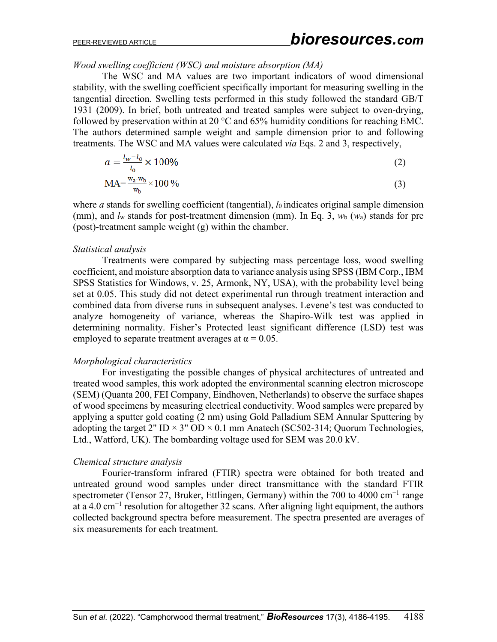*Wood swelling coefficient (WSC) and moisture absorption (MA)*

The WSC and MA values are two important indicators of wood dimensional stability, with the swelling coefficient specifically important for measuring swelling in the tangential direction. Swelling tests performed in this study followed the standard GB/T 1931 (2009). In brief, both untreated and treated samples were subject to oven-drying, followed by preservation within at 20  $\degree$ C and 65% humidity conditions for reaching EMC. The authors determined sample weight and sample dimension prior to and following treatments. The WSC and MA values were calculated *via* Eqs. 2 and 3, respectively,

$$
a = \frac{l_w - l_0}{l_0} \times 100\%
$$
 (2)

$$
MA = \frac{w_a - w_b}{w_b} \times 100\% \tag{3}
$$

where *a* stands for swelling coefficient (tangential), *l*0 indicates original sample dimension (mm), and *l*<sup>w</sup> stands for post-treatment dimension (mm). In Eq. 3, *w*<sup>b</sup> (*w*a) stands for pre (post)-treatment sample weight (g) within the chamber.

#### *Statistical analysis*

Treatments were compared by subjecting mass percentage loss, wood swelling coefficient, and moisture absorption data to variance analysis using SPSS (IBM Corp., IBM SPSS Statistics for Windows, v. 25, Armonk, NY, USA), with the probability level being set at 0.05. This study did not detect experimental run through treatment interaction and combined data from diverse runs in subsequent analyses. Levene's test was conducted to analyze homogeneity of variance, whereas the Shapiro-Wilk test was applied in determining normality. Fisher's Protected least significant difference (LSD) test was employed to separate treatment averages at  $\alpha = 0.05$ .

### *Morphological characteristics*

For investigating the possible changes of physical architectures of untreated and treated wood samples, this work adopted the environmental scanning electron microscope (SEM) (Quanta 200, FEI Company, Eindhoven, Netherlands) to observe the surface shapes of wood specimens by measuring electrical conductivity. Wood samples were prepared by applying a sputter gold coating (2 nm) using Gold Palladium SEM Annular Sputtering by adopting the target 2" ID  $\times$  3" OD  $\times$  0.1 mm Anatech (SC502-314; Quorum Technologies, Ltd., Watford, UK). The bombarding voltage used for SEM was 20.0 kV.

### *Chemical structure analysis*

Fourier-transform infrared (FTIR) spectra were obtained for both treated and untreated ground wood samples under direct transmittance with the standard FTIR spectrometer (Tensor 27, Bruker, Ettlingen, Germany) within the 700 to 4000 cm<sup>-1</sup> range at a 4.0 cm<sup>-1</sup> resolution for altogether 32 scans. After aligning light equipment, the authors collected background spectra before measurement. The spectra presented are averages of six measurements for each treatment.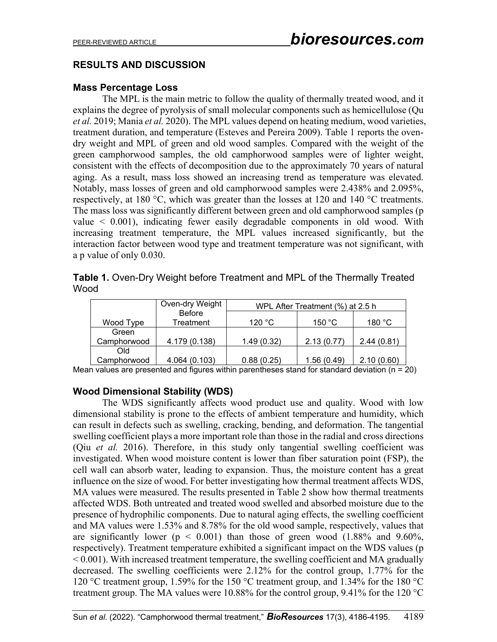### **RESULTS AND DISCUSSION**

### **Mass Percentage Loss**

The MPL is the main metric to follow the quality of thermally treated wood, and it explains the degree of pyrolysis of small molecular components such as hemicellulose (Qu *et al.* 2019; Mania *et al.* 2020). The MPL values depend on heating medium, wood varieties, treatment duration, and temperature (Esteves and Pereira 2009). Table 1 reports the ovendry weight and MPL of green and old wood samples. Compared with the weight of the green camphorwood samples, the old camphorwood samples were of lighter weight, consistent with the effects of decomposition due to the approximately 70 years of natural aging. As a result, mass loss showed an increasing trend as temperature was elevated. Notably, mass losses of green and old camphorwood samples were 2.438% and 2.095%, respectively, at 180 °C, which was greater than the losses at 120 and 140 °C treatments. The mass loss was significantly different between green and old camphorwood samples (p value  $\leq$  0.001), indicating fewer easily degradable components in old wood. With increasing treatment temperature, the MPL values increased significantly, but the interaction factor between wood type and treatment temperature was not significant, with a p value of only 0.030.

| Table 1. Oven-Dry Weight before Treatment and MPL of the Thermally Treated |  |  |
|----------------------------------------------------------------------------|--|--|
| Wood                                                                       |  |  |

|             | Oven-dry Weight | WPL After Treatment (%) at 2.5 h |            |            |
|-------------|-----------------|----------------------------------|------------|------------|
|             | <b>Before</b>   |                                  |            |            |
| Wood Type   | Treatment       | 120 °C                           | 150 °C     | 180 °C     |
| Green       |                 |                                  |            |            |
| Camphorwood | 4.179 (0.138)   | 1.49(0.32)                       | 2.13(0.77) | 2.44(0.81) |
| Old         |                 |                                  |            |            |
| Camphorwood | 4.064 (0.103)   | 0.88(0.25)                       | 1.56(0.49) | 2.10(0.60) |

Mean values are presented and figures within parentheses stand for standard deviation ( $n = 20$ )

### **Wood Dimensional Stability (WDS)**

The WDS significantly affects wood product use and quality. Wood with low dimensional stability is prone to the effects of ambient temperature and humidity, which can result in defects such as swelling, cracking, bending, and deformation. The tangential swelling coefficient plays a more important role than those in the radial and cross directions (Qiu *et al.* 2016). Therefore, in this study only tangential swelling coefficient was investigated. When wood moisture content is lower than fiber saturation point (FSP), the cell wall can absorb water, leading to expansion. Thus, the moisture content has a great influence on the size of wood. For better investigating how thermal treatment affects WDS, MA values were measured. The results presented in Table 2 show how thermal treatments affected WDS. Both untreated and treated wood swelled and absorbed moisture due to the presence of hydrophilic components. Due to natural aging effects, the swelling coefficient and MA values were 1.53% and 8.78% for the old wood sample, respectively, values that are significantly lower ( $p \le 0.001$ ) than those of green wood (1.88% and 9.60%, respectively). Treatment temperature exhibited a significant impact on the WDS values (p < 0.001). With increased treatment temperature, the swelling coefficient and MA gradually decreased. The swelling coefficients were 2.12% for the control group, 1.77% for the 120 °C treatment group, 1.59% for the 150 °C treatment group, and 1.34% for the 180 °C treatment group. The MA values were 10.88% for the control group, 9.41% for the 120  $^{\circ}$ C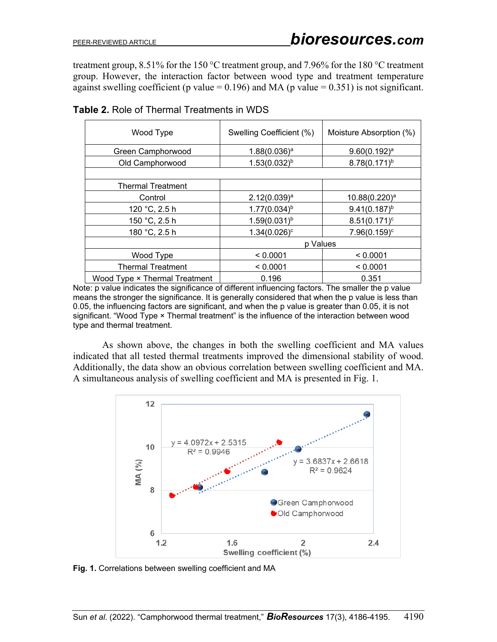treatment group, 8.51% for the 150 °C treatment group, and 7.96% for the 180 °C treatment group. However, the interaction factor between wood type and treatment temperature against swelling coefficient (p value =  $0.196$ ) and MA (p value =  $0.351$ ) is not significant.

| Wood Type                     | Swelling Coefficient (%) | Moisture Absorption (%)   |  |
|-------------------------------|--------------------------|---------------------------|--|
| Green Camphorwood             | $1.88(0.036)^a$          | $9.60(0.192)^a$           |  |
| Old Camphorwood               | $1.53(0.032)^{b}$        | $8.78(0.171)^{b}$         |  |
|                               |                          |                           |  |
| <b>Thermal Treatment</b>      |                          |                           |  |
| Control                       | 2.12(0.039) <sup>a</sup> | 10.88(0.220) <sup>a</sup> |  |
| 120 °C, 2.5 h                 | $1.77(0.034)^{b}$        | $9.41(0.187)^{b}$         |  |
| 150 °C, 2.5 h                 | $1.59(0.031)^{b}$        | $8.51(0.171)^c$           |  |
| 180 °C, 2.5 h                 | $1.34(0.026)^c$          | $7.96(0.159)^c$           |  |
|                               | p Values                 |                           |  |
| Wood Type                     | < 0.0001                 | < 0.0001                  |  |
| <b>Thermal Treatment</b>      | < 0.0001                 | < 0.0001                  |  |
| Wood Type × Thermal Treatment | 0.196                    | 0.351                     |  |

**Table 2.** Role of Thermal Treatments in WDS

Note: p value indicates the significance of different influencing factors. The smaller the p value means the stronger the significance. It is generally considered that when the p value is less than 0.05, the influencing factors are significant, and when the p value is greater than 0.05, it is not significant. "Wood Type × Thermal treatment" is the influence of the interaction between wood type and thermal treatment.

As shown above, the changes in both the swelling coefficient and MA values indicated that all tested thermal treatments improved the dimensional stability of wood. Additionally, the data show an obvious correlation between swelling coefficient and MA. A simultaneous analysis of swelling coefficient and MA is presented in Fig. 1.



**Fig. 1.** Correlations between swelling coefficient and MA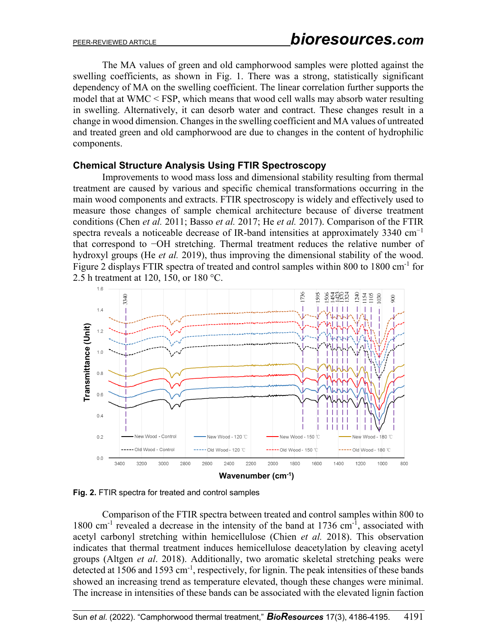The MA values of green and old camphorwood samples were plotted against the swelling coefficients, as shown in Fig. 1. There was a strong, statistically significant dependency of MA on the swelling coefficient. The linear correlation further supports the model that at WMC < FSP, which means that wood cell walls may absorb water resulting in swelling. Alternatively, it can desorb water and contract. These changes result in a change in wood dimension. Changes in the swelling coefficient and MA values of untreated and treated green and old camphorwood are due to changes in the content of hydrophilic components.

### **Chemical Structure Analysis Using FTIR Spectroscopy**

Improvements to wood mass loss and dimensional stability resulting from thermal treatment are caused by various and specific chemical transformations occurring in the main wood components and extracts. FTIR spectroscopy is widely and effectively used to measure those changes of sample chemical architecture because of diverse treatment conditions (Chen *et al.* 2011; Basso *et al.* 2017; He *et al.* 2017). Comparison of the FTIR spectra reveals a noticeable decrease of IR-band intensities at approximately 3340 cm<sup>-1</sup> that correspond to −OH stretching. Thermal treatment reduces the relative number of hydroxyl groups (He *et al.* 2019), thus improving the dimensional stability of the wood. Figure 2 displays FTIR spectra of treated and control samples within 800 to 1800 cm<sup>-1</sup> for 2.5 h treatment at 120, 150, or 180 °C.



**Fig. 2.** FTIR spectra for treated and control samples

Comparison of the FTIR spectra between treated and control samples within 800 to 1800 cm<sup>-1</sup> revealed a decrease in the intensity of the band at 1736 cm<sup>-1</sup>, associated with acetyl carbonyl stretching within hemicellulose (Chien *et al.* 2018). This observation indicates that thermal treatment induces hemicellulose deacetylation by cleaving acetyl groups (Altgen *et al*. 2018). Additionally, two aromatic skeletal stretching peaks were detected at 1506 and 1593 cm<sup>-1</sup>, respectively, for lignin. The peak intensities of these bands showed an increasing trend as temperature elevated, though these changes were minimal. The increase in intensities of these bands can be associated with the elevated lignin faction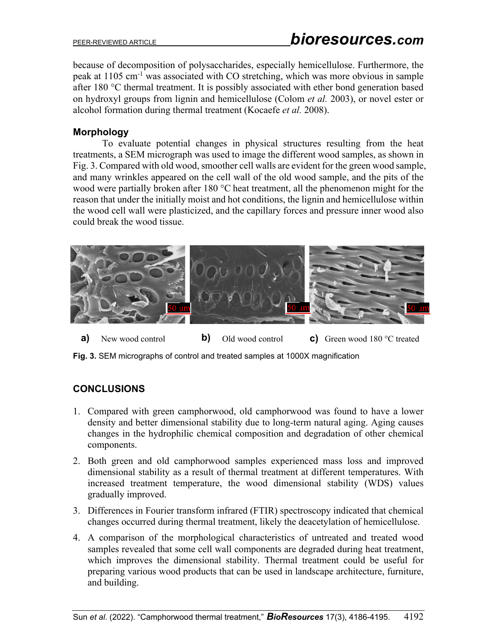# PEER-REVIEWED ARTICLE *bioresources.com*

because of decomposition of polysaccharides, especially hemicellulose. Furthermore, the peak at 1105 cm-1 was associated with CO stretching, which was more obvious in sample after 180 °C thermal treatment. It is possibly associated with ether bond generation based on hydroxyl groups from lignin and hemicellulose (Colom *et al.* 2003), or novel ester or alcohol formation during thermal treatment (Kocaefe *et al.* 2008).

### **Morphology**

To evaluate potential changes in physical structures resulting from the heat treatments, a SEM micrograph was used to image the different wood samples, as shown in Fig. 3. Compared with old wood, smoother cell walls are evident for the green wood sample, and many wrinkles appeared on the cell wall of the old wood sample, and the pits of the wood were partially broken after 180 °C heat treatment, all the phenomenon might for the reason that under the initially moist and hot conditions, the lignin and hemicellulose within the wood cell wall were plasticized, and the capillary forces and pressure inner wood also could break the wood tissue.



**a**) New wood control **b**) Old wood control **c**) Green wood 180 °C treated

**Fig. 3.** SEM micrographs of control and treated samples at 1000X magnification

### **CONCLUSIONS**

- 1. Compared with green camphorwood, old camphorwood was found to have a lower density and better dimensional stability due to long-term natural aging. Aging causes changes in the hydrophilic chemical composition and degradation of other chemical components.
- 2. Both green and old camphorwood samples experienced mass loss and improved dimensional stability as a result of thermal treatment at different temperatures. With increased treatment temperature, the wood dimensional stability (WDS) values gradually improved.
- 3. Differences in Fourier transform infrared (FTIR) spectroscopy indicated that chemical changes occurred during thermal treatment, likely the deacetylation of hemicellulose.
- 4. A comparison of the morphological characteristics of untreated and treated wood samples revealed that some cell wall components are degraded during heat treatment, which improves the dimensional stability. Thermal treatment could be useful for preparing various wood products that can be used in landscape architecture, furniture, and building.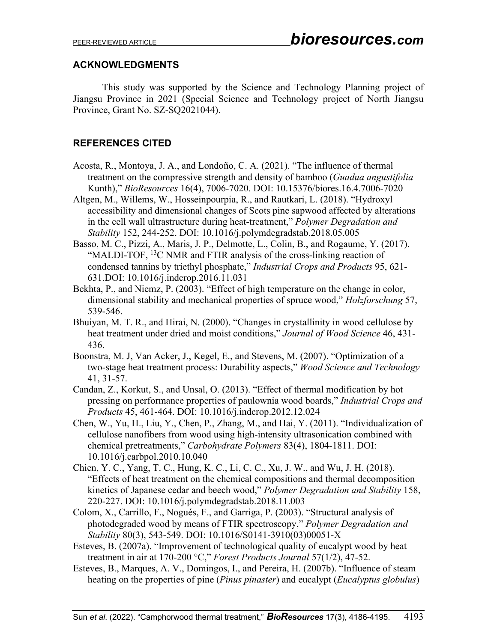### **ACKNOWLEDGMENTS**

This study was supported by the Science and Technology Planning project of Jiangsu Province in 2021 (Special Science and Technology project of North Jiangsu Province, Grant No. SZ-SQ2021044).

### **REFERENCES CITED**

- Acosta, R., Montoya, J. A., and Londoño, C. A. (2021). "The influence of thermal treatment on the compressive strength and density of bamboo (*Guadua angustifolia* Kunth)," *BioResources* 16(4), 7006-7020. DOI: 10.15376/biores.16.4.7006-7020
- Altgen, M., Willems, W., Hosseinpourpia, R., and Rautkari, L. (2018). "Hydroxyl accessibility and dimensional changes of Scots pine sapwood affected by alterations in the cell wall ultrastructure during heat-treatment," *Polymer Degradation and Stability* 152, 244-252. DOI: [10.1016/j.polymdegradstab.2018.05.005](http://dx.doi.org/10.1016/j.polymdegradstab.2018.05.005)
- Basso, M. C., Pizzi, A., Maris, J. P., Delmotte, L., Colin, B., and Rogaume, Y. (2017). "MALDI-TOF, <sup>13</sup>C NMR and FTIR analysis of the cross-linking reaction of condensed tannins by triethyl phosphate," *Industrial Crops and Products* 95, 621- 631.DOI: 10.1016/j.indcrop.2016.11.031
- Bekhta, P., and Niemz, P. (2003). "Effect of high temperature on the change in color, dimensional stability and mechanical properties of spruce wood," *Holzforschung* 57, 539-546.
- Bhuiyan, M. T. R., and Hirai, N. (2000). "Changes in crystallinity in wood cellulose by heat treatment under dried and moist conditions," *Journal of Wood Science* 46, 431- 436.
- Boonstra, M. J, Van Acker, J., Kegel, E., and Stevens, M. (2007). "Optimization of a two-stage heat treatment process: Durability aspects," *Wood Science and Technology* 41, 31-57.
- Candan, Z., Korkut, S., and Unsal, O. (2013). "Effect of thermal modification by hot pressing on performance properties of paulownia wood boards," *Industrial Crops and Products* 45, 461-464. DOI: 10.1016/j.indcrop.2012.12.024
- Chen, W., Yu, H., Liu, Y., Chen, P., Zhang, M., and Hai, Y. (2011). "Individualization of cellulose nanofibers from wood using high-intensity ultrasonication combined with chemical pretreatments," *Carbohydrate Polymers* 83(4), 1804-1811. DOI: 10.1016/j.carbpol.2010.10.040
- Chien, Y. C., Yang, T. C., Hung, K. C., Li, C. C., Xu, J. W., and Wu, J. H. (2018). "Effects of heat treatment on the chemical compositions and thermal decomposition kinetics of Japanese cedar and beech wood," *Polymer Degradation and Stability* 158, 220-227. DOI: 10.1016/j.polymdegradstab.2018.11.003
- Colom, X., Carrillo, F., Nogués, F., and Garriga, P. (2003). "Structural analysis of photodegraded wood by means of FTIR spectroscopy," *Polymer Degradation and Stability* 80(3), 543-549. DOI: 10.1016/S0141-3910(03)00051-X
- Esteves, B. (2007a). "Improvement of technological quality of eucalypt wood by heat treatment in air at 170-200 °C," *Forest Products Journal* 57(1/2), 47-52.
- Esteves, B., Marques, A. V., Domingos, I., and Pereira, H. (2007b). "Influence of steam heating on the properties of pine (*Pinus pinaster*) and eucalypt (*Eucalyptus globulus*)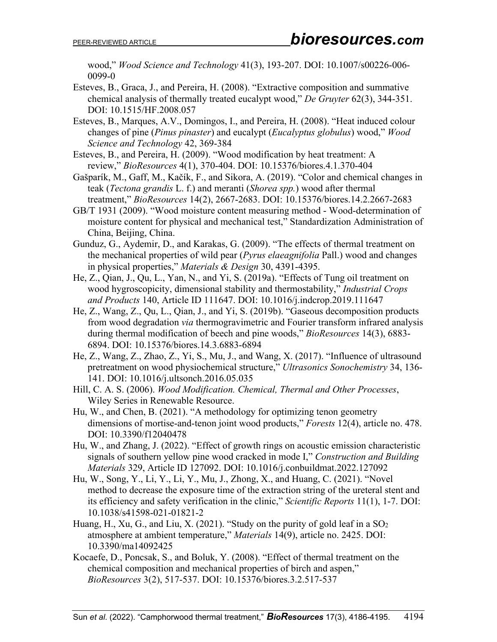wood," *Wood Science and Technology* 41(3), 193-207. DOI: 10.1007/s00226-006- 0099-0

- Esteves, B., Graca, J., and Pereira, H. (2008). "Extractive composition and summative chemical analysis of thermally treated eucalypt wood," *De Gruyter* 62(3), 344-351. DOI: 10.1515/HF.2008.057
- Esteves, B., Marques, A.V., Domingos, I., and Pereira, H. (2008). "Heat induced colour changes of pine (*Pinus pinaster*) and eucalypt (*Eucalyptus globulus*) wood," *Wood Science and Technology* 42, 369-384
- Esteves, B., and Pereira, H. (2009). "Wood modification by heat treatment: A review," *BioResources* 4(1), 370-404. DOI: 10.15376/biores.4.1.370-404
- Gašparík, M., Gaff, M., Kačík, F., and Sikora, A. (2019). "Color and chemical changes in teak (*Tectona grandis* L. f.) and meranti (*Shorea spp.*) wood after thermal treatment," *BioResources* 14(2), 2667-2683. DOI: 10.15376/biores.14.2.2667-2683
- GB/T 1931 (2009). "Wood moisture content measuring method Wood-determination of moisture content for physical and mechanical test," Standardization Administration of China, Beijing, China.
- Gunduz, G., Aydemir, D., and Karakas, G. (2009). "The effects of thermal treatment on the mechanical properties of wild pear (*Pyrus elaeagnifolia* Pall.) wood and changes in physical properties," *Materials & Design* 30, 4391-4395.
- He, Z., Qian, J., Qu, L., Yan, N., and Yi, S. (2019a). "Effects of Tung oil treatment on wood hygroscopicity, dimensional stability and thermostability," *Industrial Crops and Products* 140, Article ID 111647. DOI: 10.1016/j.indcrop.2019.111647
- He, Z., Wang, Z., Qu, L., Qian, J., and Yi, S. (2019b). "Gaseous decomposition products from wood degradation *via* thermogravimetric and Fourier transform infrared analysis during thermal modification of beech and pine woods," *BioResources* 14(3), 6883- 6894. DOI: 10.15376/biores.14.3.6883-6894
- He, Z., Wang, Z., Zhao, Z., Yi, S., Mu, J., and Wang, X. (2017). "Influence of ultrasound pretreatment on wood physiochemical structure," *Ultrasonics Sonochemistry* 34, 136- 141. DOI: 10.1016/j.ultsonch.2016.05.035
- Hill, C. A. S. (2006). *Wood Modification. Chemical, Thermal and Other Processes*, Wiley Series in Renewable Resource.
- Hu, W., and Chen, B. (2021). "A methodology for optimizing tenon geometry dimensions of mortise-and-tenon joint wood products," *Forests* 12(4), article no. 478. DOI: 10.3390/f12040478
- Hu, W., and Zhang, J. (2022). "Effect of growth rings on acoustic emission characteristic signals of southern yellow pine wood cracked in mode Ⅰ," *Construction and Building Materials* 329, Article ID 127092. DOI: 10.1016/j.conbuildmat.2022.127092
- Hu, W., Song, Y., Li, Y., Li, Y., Mu, J., Zhong, X., and Huang, C. (2021). "Novel method to decrease the exposure time of the extraction string of the ureteral stent and its efficiency and safety verification in the clinic," *Scientific Reports* 11(1), 1-7. DOI: 10.1038/s41598-021-01821-2
- Huang, H., Xu, G., and Liu, X. (2021). "Study on the purity of gold leaf in a  $SO_2$ atmosphere at ambient temperature," *Materials* 14(9), article no. 2425. DOI: 10.3390/ma14092425
- Kocaefe, D., Poncsak, S., and Boluk, Y. (2008). "Effect of thermal treatment on the chemical composition and mechanical properties of birch and aspen," *BioResources* 3(2), 517-537. DOI: 10.15376/biores.3.2.517-537